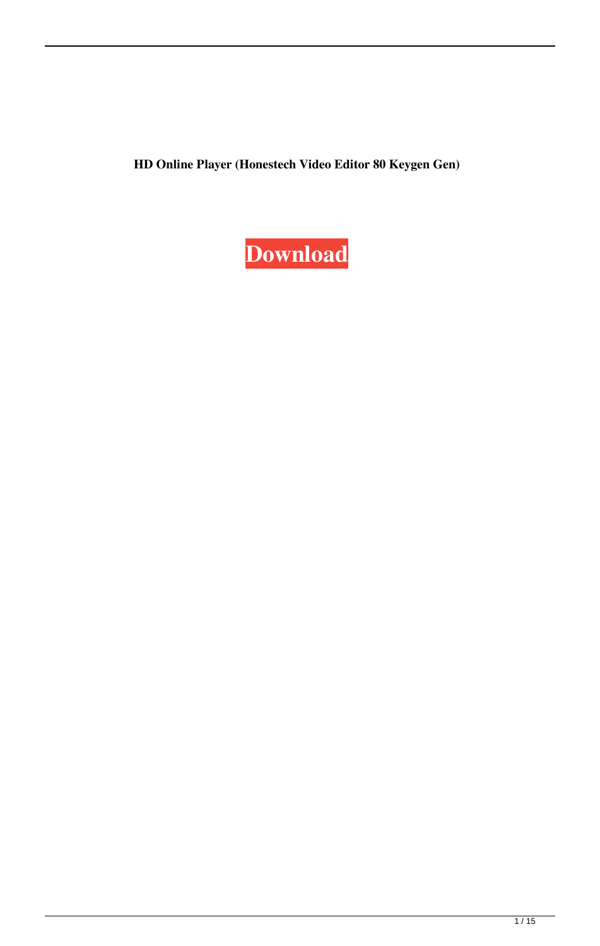**HD Online Player (Honestech Video Editor 80 Keygen Gen)**

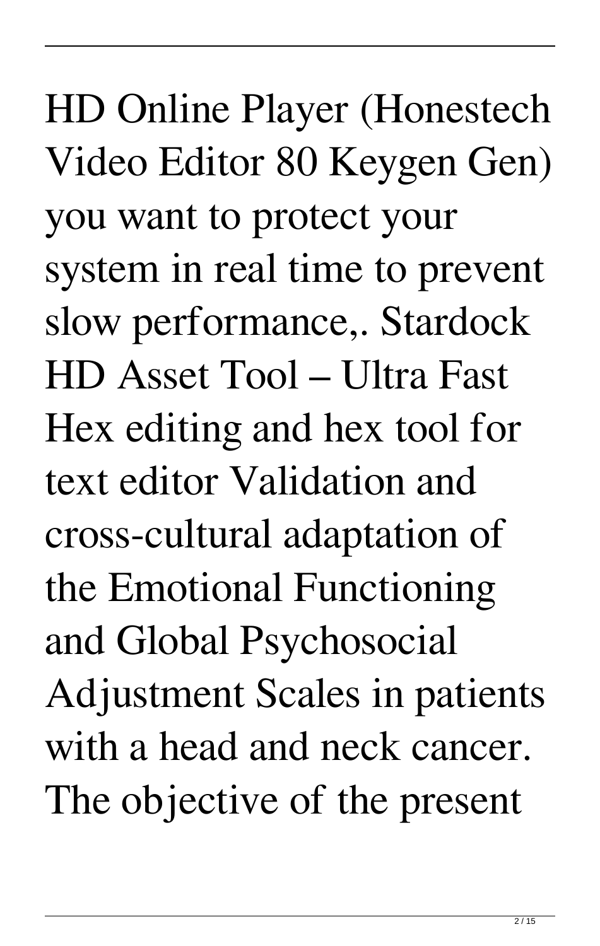HD Online Player (Honestech Video Editor 80 Keygen Gen) you want to protect your system in real time to prevent slow performance,. Stardock HD Asset Tool – Ultra Fast Hex editing and hex tool for text editor Validation and cross-cultural adaptation of the Emotional Functioning and Global Psychosocial Adjustment Scales in patients with a head and neck cancer. The objective of the present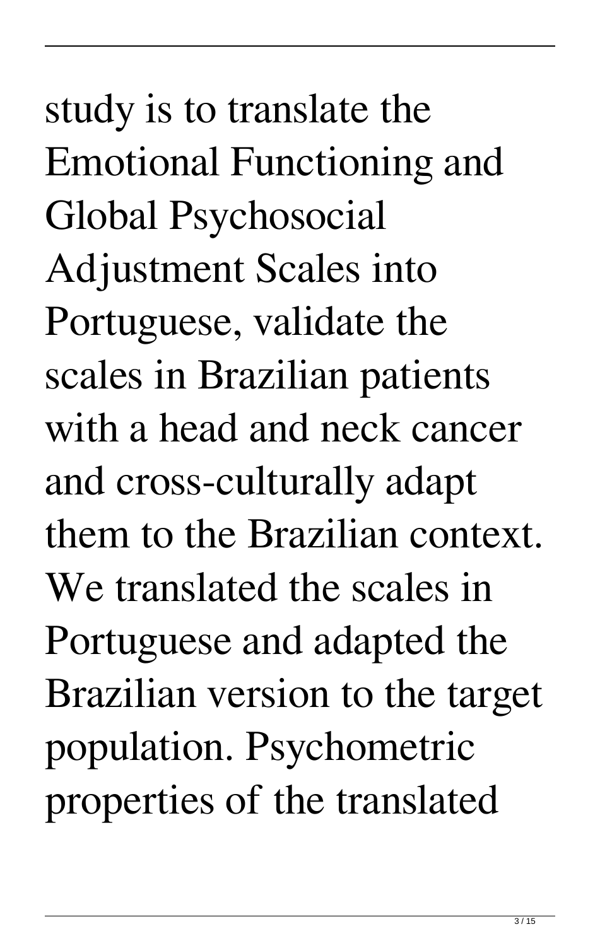study is to translate the Emotional Functioning and Global Psychosocial Adjustment Scales into Portuguese, validate the scales in Brazilian patients with a head and neck cancer and cross-culturally adapt them to the Brazilian context. We translated the scales in Portuguese and adapted the Brazilian version to the target population. Psychometric properties of the translated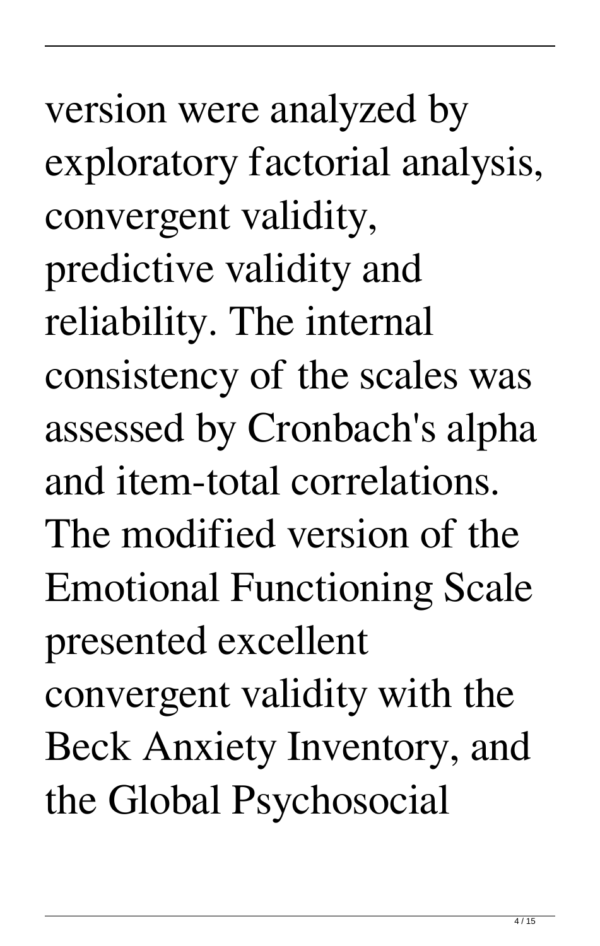version were analyzed by exploratory factorial analysis, convergent validity, predictive validity and reliability. The internal consistency of the scales was assessed by Cronbach's alpha and item-total correlations. The modified version of the Emotional Functioning Scale presented excellent convergent validity with the Beck Anxiety Inventory, and the Global Psychosocial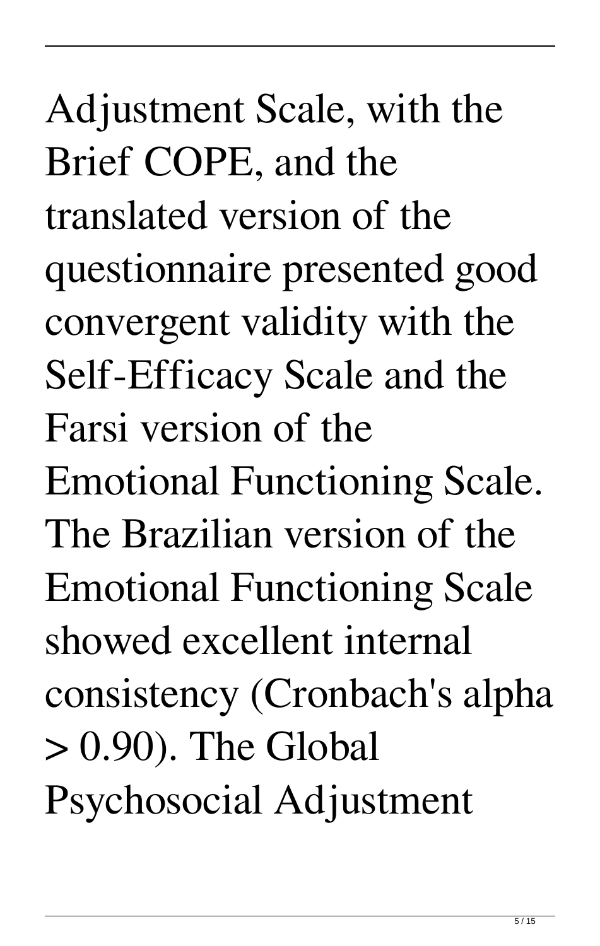Adjustment Scale, with the Brief COPE, and the translated version of the questionnaire presented good convergent validity with the Self-Efficacy Scale and the Farsi version of the Emotional Functioning Scale. The Brazilian version of the Emotional Functioning Scale showed excellent internal consistency (Cronbach's alpha > 0.90). The Global Psychosocial Adjustment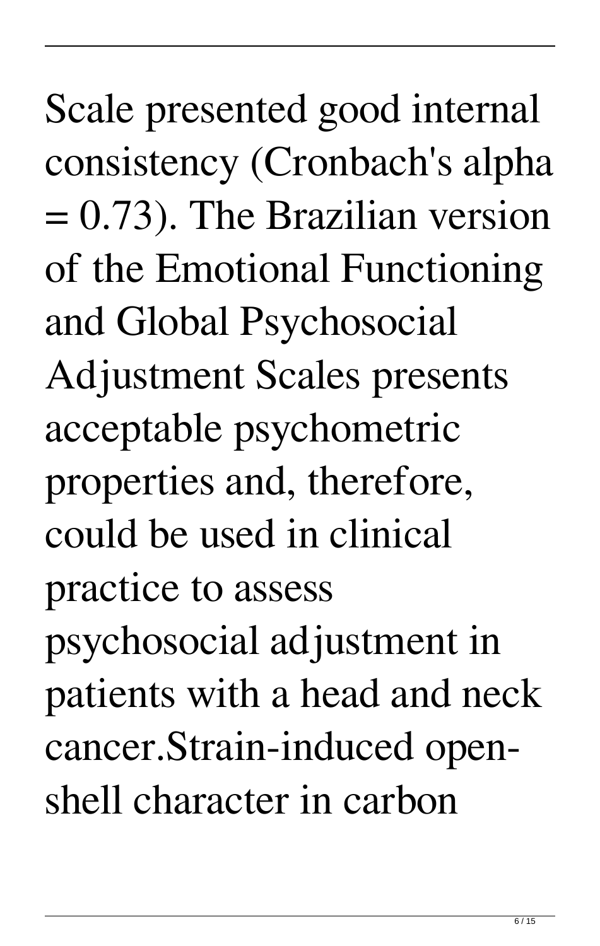Scale presented good internal consistency (Cronbach's alpha = 0.73). The Brazilian version of the Emotional Functioning and Global Psychosocial Adjustment Scales presents acceptable psychometric properties and, therefore, could be used in clinical practice to assess psychosocial adjustment in patients with a head and neck cancer.Strain-induced openshell character in carbon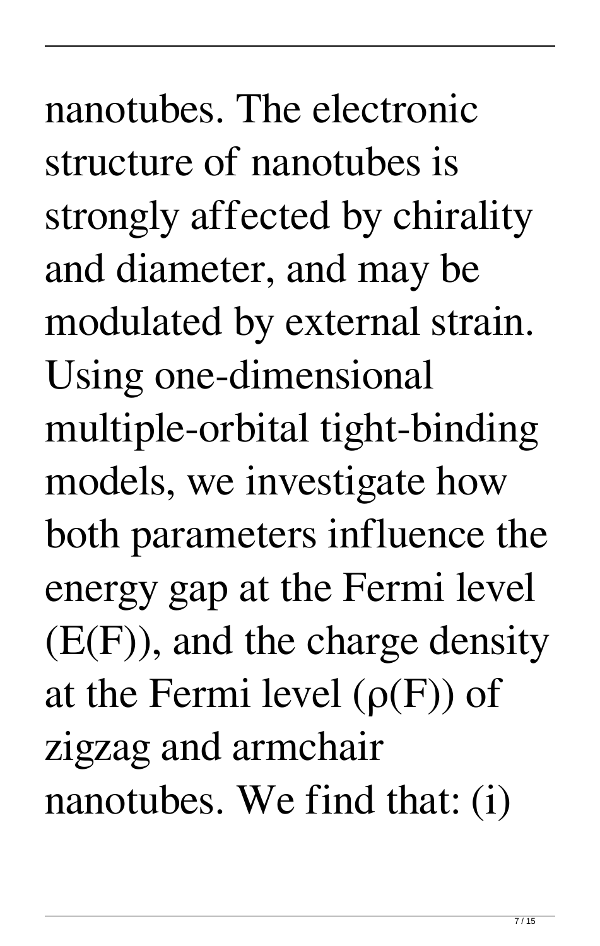nanotubes. The electronic structure of nanotubes is strongly affected by chirality and diameter, and may be modulated by external strain. Using one-dimensional multiple-orbital tight-binding models, we investigate how both parameters influence the energy gap at the Fermi level  $(E(F))$ , and the charge density at the Fermi level  $(\rho(F))$  of zigzag and armchair nanotubes. We find that: (i)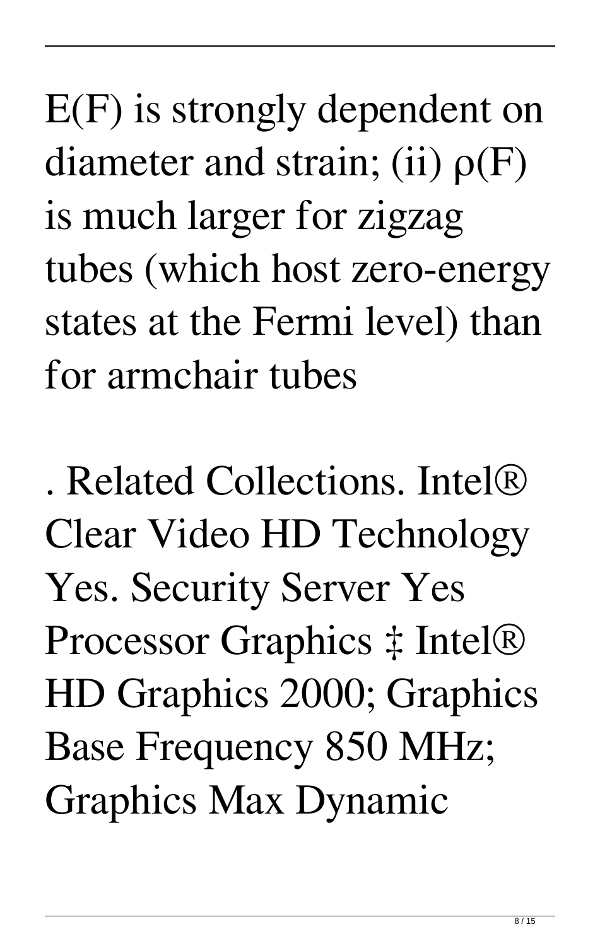E(F) is strongly dependent on diameter and strain; (ii)  $\rho(F)$ is much larger for zigzag tubes (which host zero-energy states at the Fermi level) than for armchair tubes

. Related Collections. Intel® Clear Video HD Technology Yes. Security Server Yes Processor Graphics ‡ Intel® HD Graphics 2000; Graphics Base Frequency 850 MHz; Graphics Max Dynamic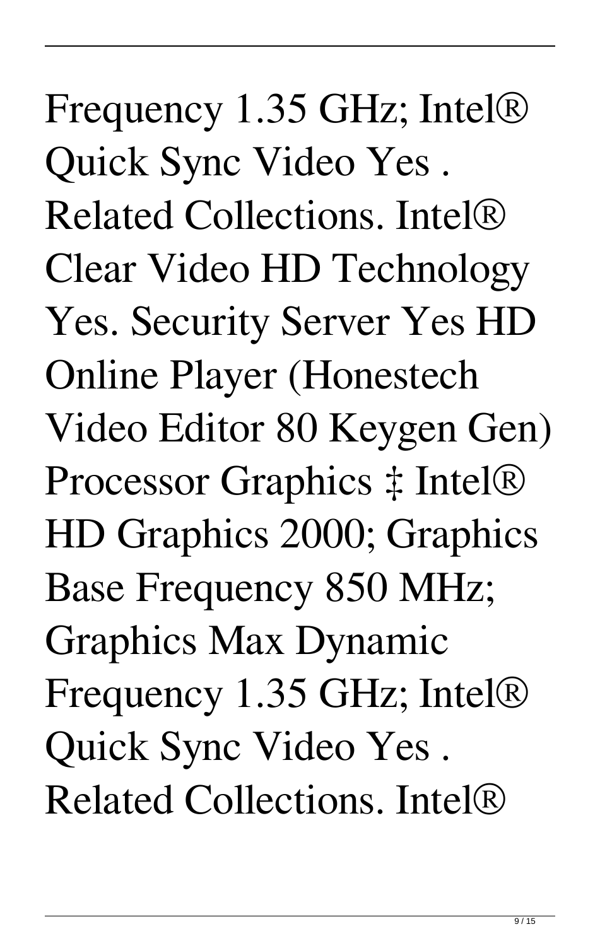Frequency 1.35 GHz; Intel® Quick Sync Video Yes . Related Collections. Intel® Clear Video HD Technology Yes. Security Server Yes HD Online Player (Honestech Video Editor 80 Keygen Gen) Processor Graphics ‡ Intel® HD Graphics 2000; Graphics Base Frequency 850 MHz; Graphics Max Dynamic Frequency 1.35 GHz; Intel® Quick Sync Video Yes . Related Collections. Intel®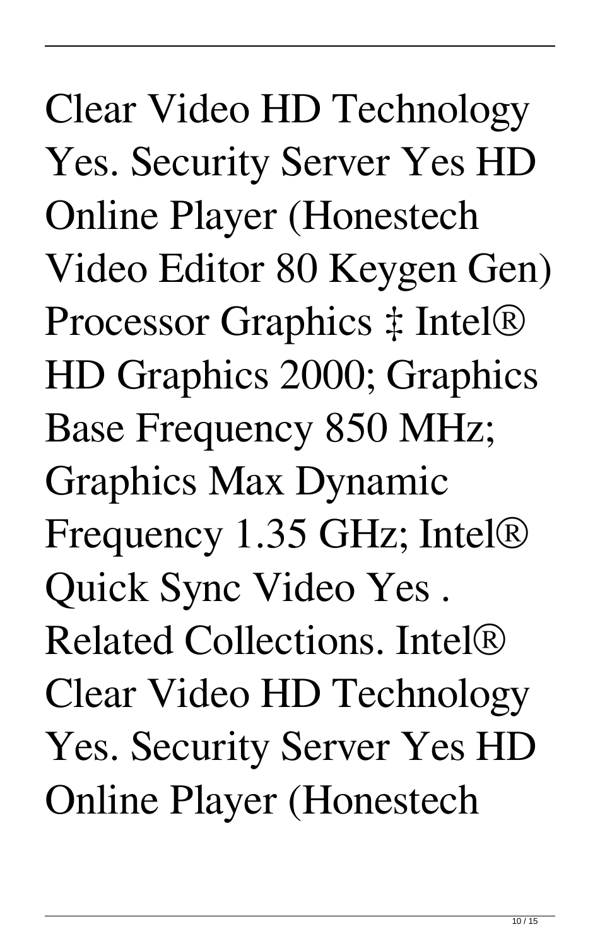Clear Video HD Technology Yes. Security Server Yes HD Online Player (Honestech Video Editor 80 Keygen Gen) Processor Graphics ‡ Intel® HD Graphics 2000; Graphics Base Frequency 850 MHz; Graphics Max Dynamic Frequency 1.35 GHz; Intel® Quick Sync Video Yes . Related Collections. Intel® Clear Video HD Technology Yes. Security Server Yes HD Online Player (Honestech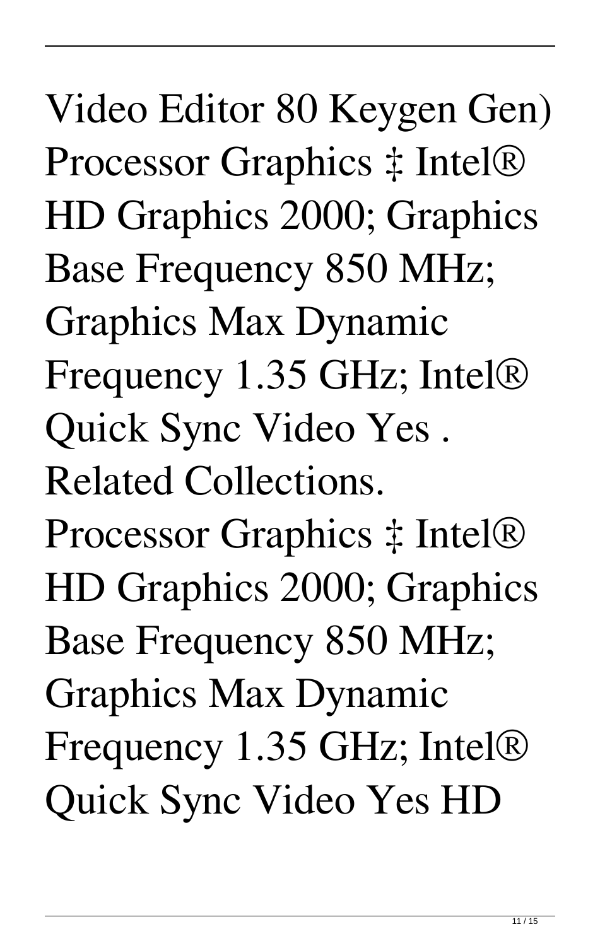Video Editor 80 Keygen Gen) Processor Graphics ‡ Intel® HD Graphics 2000; Graphics Base Frequency 850 MHz; Graphics Max Dynamic Frequency 1.35 GHz; Intel® Quick Sync Video Yes . Related Collections. Processor Graphics ‡ Intel® HD Graphics 2000; Graphics Base Frequency 850 MHz; Graphics Max Dynamic Frequency 1.35 GHz; Intel® Quick Sync Video Yes HD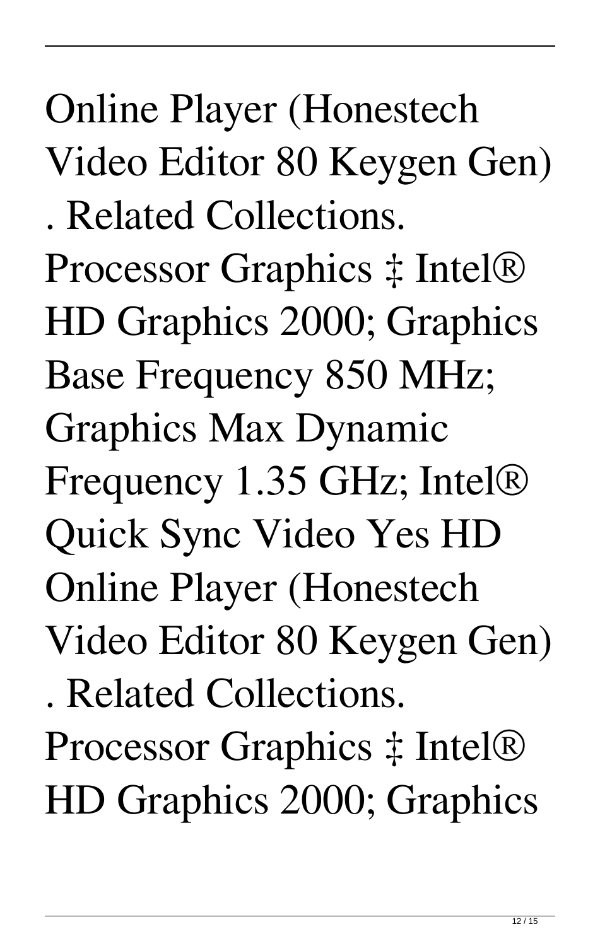Online Player (Honestech Video Editor 80 Keygen Gen) . Related Collections. Processor Graphics ‡ Intel® HD Graphics 2000; Graphics Base Frequency 850 MHz; Graphics Max Dynamic Frequency 1.35 GHz; Intel® Quick Sync Video Yes HD Online Player (Honestech Video Editor 80 Keygen Gen) . Related Collections. Processor Graphics ‡ Intel®

HD Graphics 2000; Graphics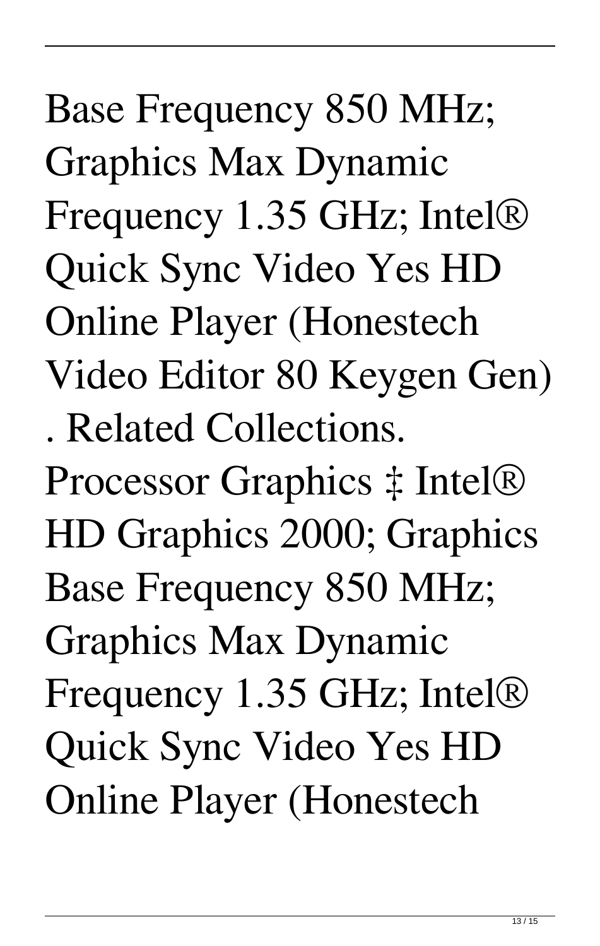Base Frequency 850 MHz; Graphics Max Dynamic Frequency 1.35 GHz; Intel® Quick Sync Video Yes HD Online Player (Honestech Video Editor 80 Keygen Gen) . Related Collections.

Processor Graphics ‡ Intel® HD Graphics 2000; Graphics Base Frequency 850 MHz; Graphics Max Dynamic Frequency 1.35 GHz; Intel® Quick Sync Video Yes HD Online Player (Honestech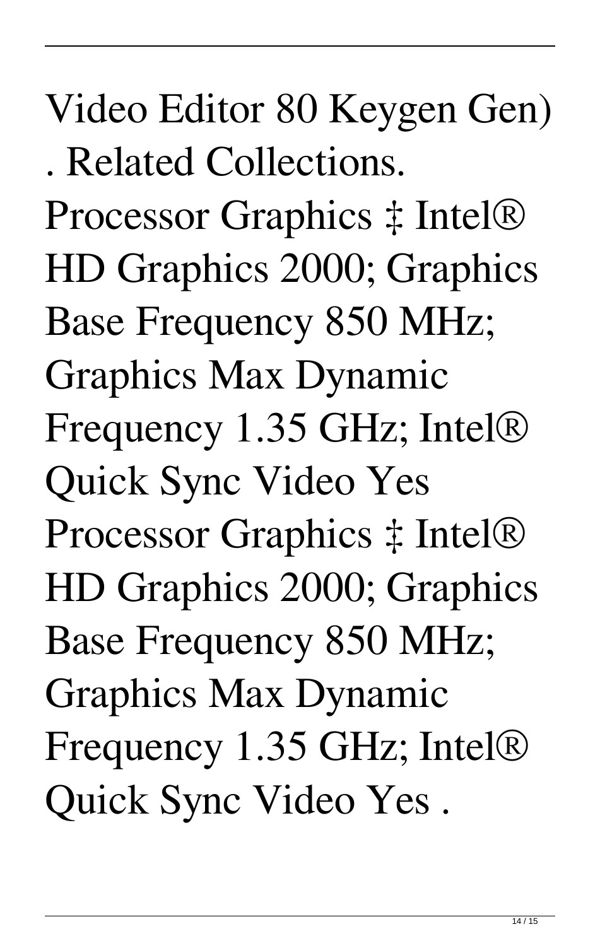## Video Editor 80 Keygen Gen)

. Related Collections.

Processor Graphics ‡ Intel® HD Graphics 2000; Graphics Base Frequency 850 MHz; Graphics Max Dynamic Frequency 1.35 GHz; Intel® Quick Sync Video Yes Processor Graphics ‡ Intel® HD Graphics 2000; Graphics Base Frequency 850 MHz; Graphics Max Dynamic Frequency 1.35 GHz; Intel® Quick Sync Video Yes .